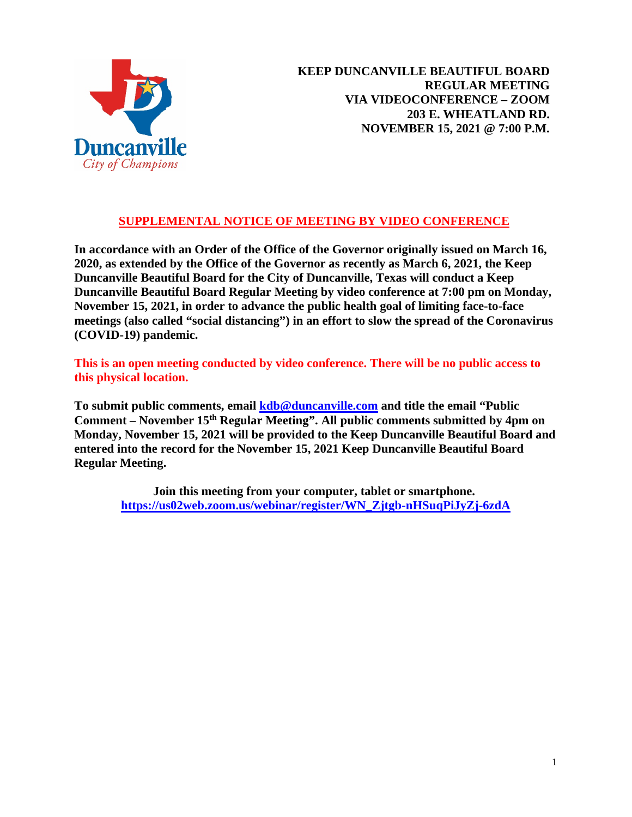

# **SUPPLEMENTAL NOTICE OF MEETING BY VIDEO CONFERENCE**

**In accordance with an Order of the Office of the Governor originally issued on March 16, 2020, as extended by the Office of the Governor as recently as March 6, 2021, the Keep Duncanville Beautiful Board for the City of Duncanville, Texas will conduct a Keep Duncanville Beautiful Board Regular Meeting by video conference at 7:00 pm on Monday, November 15, 2021, in order to advance the public health goal of limiting face-to-face meetings (also called "social distancing") in an effort to slow the spread of the Coronavirus (COVID-19) pandemic.**

**This is an open meeting conducted by video conference. There will be no public access to this physical location.**

**To submit public comments, email [kdb@duncanville.com](mailto:kdb@duncanville.com) and title the email "Public Comment – November 15th Regular Meeting". All public comments submitted by 4pm on Monday, November 15, 2021 will be provided to the Keep Duncanville Beautiful Board and entered into the record for the November 15, 2021 Keep Duncanville Beautiful Board Regular Meeting.**

**Join this meeting from your computer, tablet or smartphone. https://us02web.zoom.us/webinar/register/WN\_Zjtgb-nHSuqPiJyZj-6zdA**